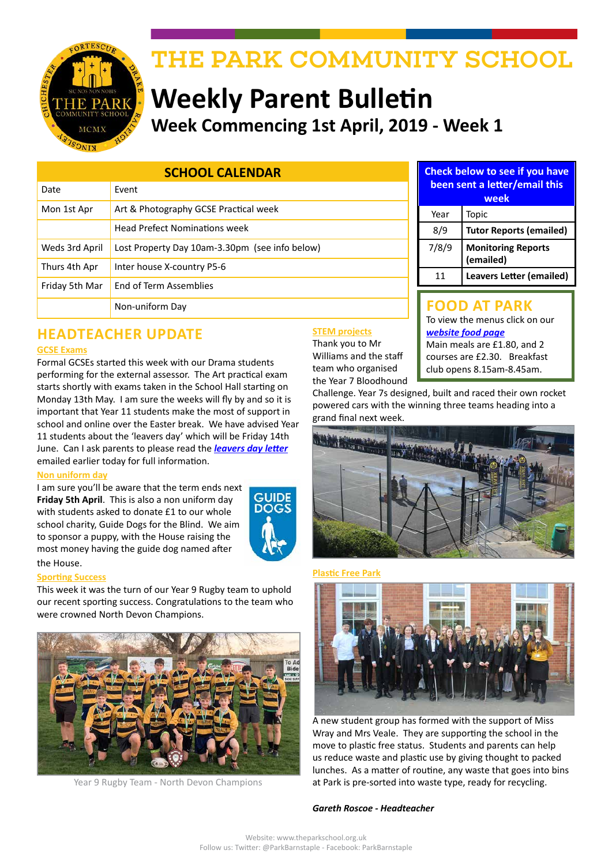

# THE PARK COMMUNITY SCHOOL

# **Weekly Parent Bulletin Week Commencing 1st April, 2019 - Week 1**

| <b>SCHOOL CALENDAR</b> |                                                |
|------------------------|------------------------------------------------|
| Date                   | Fvent                                          |
| Mon 1st Apr            | Art & Photography GCSE Practical week          |
|                        | <b>Head Prefect Nominations week</b>           |
| Weds 3rd April         | Lost Property Day 10am-3.30pm (see info below) |
| Thurs 4th Apr          | Inter house X-country P5-6                     |
| Friday 5th Mar         | End of Term Assemblies                         |
|                        | Non-uniform Day                                |

# **HEADTEACHER UPDATE**

#### **GCSE Exams**

Formal GCSEs started this week with our Drama students performing for the external assessor. The Art practical exam starts shortly with exams taken in the School Hall starting on Monday 13th May. I am sure the weeks will fly by and so it is important that Year 11 students make the most of support in school and online over the Easter break. We have advised Year 11 students about the 'leavers day' which will be Friday 14th June. Can I ask parents to please read the *[leavers day letter](http://www.theparkschool.org.uk/sites/default/files/Y11-Examination-Preparation-Leavers-Day.pdf)* emailed earlier today for full information.

#### **Non uniform day**

I am sure you'll be aware that the term ends next **Friday 5th April**. This is also a non uniform day with students asked to donate £1 to our whole school charity, Guide Dogs for the Blind. We aim to sponsor a puppy, with the House raising the most money having the guide dog named after the House.



#### **Sporting Success**

This week it was the turn of our Year 9 Rugby team to uphold our recent sporting success. Congratulations to the team who were crowned North Devon Champions.



Year 9 Rugby Team - North Devon Champions

#### **STEM projects**

Thank you to Mr Williams and the staff team who organised the Year 7 Bloodhound **Check below to see if you have been sent a letter/email this** 

| week  |                                        |  |
|-------|----------------------------------------|--|
| Year  | Topic                                  |  |
| 8/9   | <b>Tutor Reports (emailed)</b>         |  |
| 7/8/9 | <b>Monitoring Reports</b><br>(emailed) |  |
| 11    | <b>Leavers Letter (emailed)</b>        |  |

#### **FOOD AT PARK**

To view the menus click on our *[website food page](http://www.theparkschool.org.uk/food-park)* Main meals are £1.80, and 2 courses are £2.30. Breakfast club opens 8.15am-8.45am.

Challenge. Year 7s designed, built and raced their own rocket powered cars with the winning three teams heading into a grand final next week.



#### **Plastic Free Park**



A new student group has formed with the support of Miss Wray and Mrs Veale. They are supporting the school in the move to plastic free status. Students and parents can help us reduce waste and plastic use by giving thought to packed lunches. As a matter of routine, any waste that goes into bins at Park is pre-sorted into waste type, ready for recycling.

#### *Gareth Roscoe - Headteacher*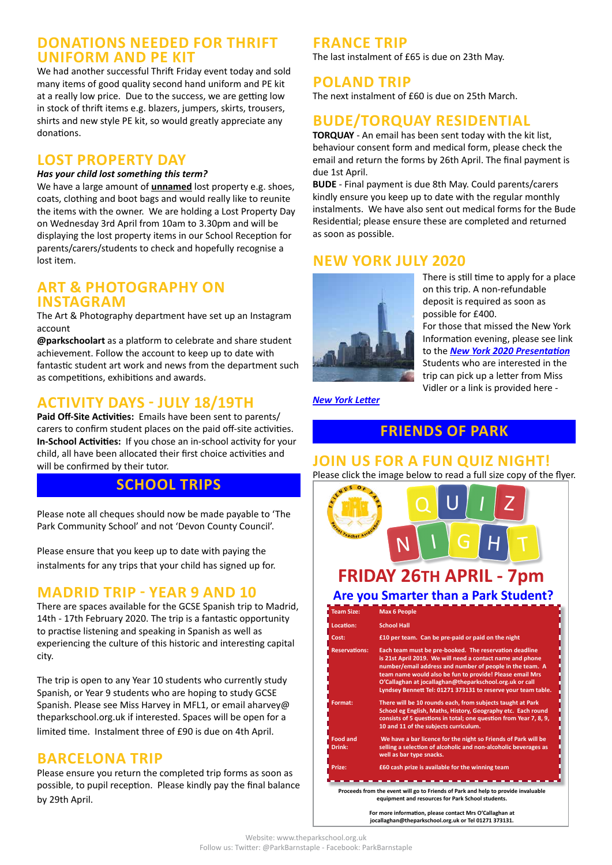#### **DONATIONS NEEDED FOR THRIFT UNIFORM AND PE KIT**

We had another successful Thrift Friday event today and sold many items of good quality second hand uniform and PE kit at a really low price. Due to the success, we are getting low in stock of thrift items e.g. blazers, jumpers, skirts, trousers, shirts and new style PE kit, so would greatly appreciate any donations.

# **LOST PROPERTY DAY**

#### *Has your child lost something this term?*

We have a large amount of **unnamed** lost property e.g. shoes, coats, clothing and boot bags and would really like to reunite the items with the owner. We are holding a Lost Property Day on Wednesday 3rd April from 10am to 3.30pm and will be displaying the lost property items in our School Reception for parents/carers/students to check and hopefully recognise a lost item.

#### **ART & PHOTOGRAPHY ON INSTAGRAM**

The Art & Photography department have set up an Instagram account

**@parkschoolart** as a platform to celebrate and share student achievement. Follow the account to keep up to date with fantastic student art work and news from the department such as competitions, exhibitions and awards.

# **ACTIVITY DAYS - JULY 18/19TH**

**Paid Off-Site Activities:** Emails have been sent to parents/ carers to confirm student places on the paid off-site activities. **In-School Activities:** If you chose an in-school activity for your child, all have been allocated their first choice activities and will be confirmed by their tutor.

# **SCHOOL TRIPS**

Please note all cheques should now be made payable to 'The Park Community School' and not 'Devon County Council'.

Please ensure that you keep up to date with paying the instalments for any trips that your child has signed up for.

#### **MADRID TRIP - YEAR 9 AND 10**

There are spaces available for the GCSE Spanish trip to Madrid, 14th - 17th February 2020. The trip is a fantastic opportunity to practise listening and speaking in Spanish as well as experiencing the culture of this historic and interesting capital city.

The trip is open to any Year 10 students who currently study Spanish, or Year 9 students who are hoping to study GCSE Spanish. Please see Miss Harvey in MFL1, or email aharvey@ theparkschool.org.uk if interested. Spaces will be open for a limited time. Instalment three of £90 is due on 4th April.

#### **BARCELONA TRIP**

Please ensure you return the completed trip forms as soon as possible, to pupil reception. Please kindly pay the final balance by 29th April.

#### **FRANCE TRIP**

The last instalment of £65 is due on 23th May.

#### **POLAND TRIP**

The next instalment of £60 is due on 25th March.

# **BUDE/TORQUAY RESIDENTIAL**

**TORQUAY** - An email has been sent today with the kit list, behaviour consent form and medical form, please check the email and return the forms by 26th April. The final payment is due 1st April.

**BUDE** - Final payment is due 8th May. Could parents/carers kindly ensure you keep up to date with the regular monthly instalments. We have also sent out medical forms for the Bude Residential; please ensure these are completed and returned as soon as possible.

## **NEW YORK JULY 2020**



There is still time to apply for a place on this trip. A non-refundable deposit is required as soon as possible for £400.

For those that missed the New York Information evening, please see link to the *[New York 2020 Presentation](http://www.theparkschool.org.uk/sites/default/files/NewYorkMeetingPowerPoint-July2020.pdf)* Students who are interested in the trip can pick up a letter from Miss Vidler or a link is provided here -

*[New York Letter](http://www.theparkschool.org.uk/sites/default/files/Payment%20Plan%20and%20Itinerary%20letter%202020.pdf)*

#### **FRIENDS OF PARK**

#### **JOIN US FOR A FUN QUIZ NIGHT!**

Please click the image below to read a full size copy of the flyer.

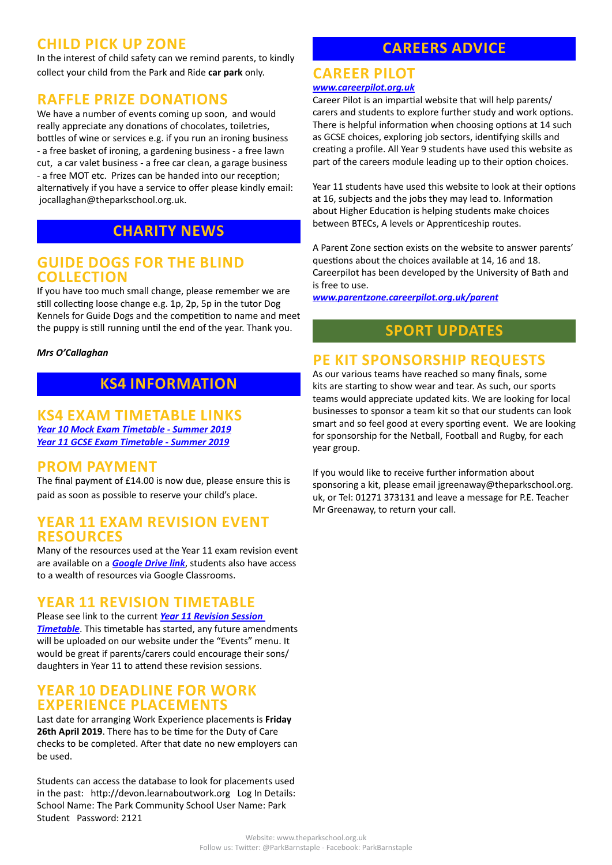## **CHILD PICK UP ZONE**

In the interest of child safety can we remind parents, to kindly collect your child from the Park and Ride **car park** only.

#### **RAFFLE PRIZE DONATIONS**

We have a number of events coming up soon, and would really appreciate any donations of chocolates, toiletries, bottles of wine or services e.g. if you run an ironing business - a free basket of ironing, a gardening business - a free lawn cut, a car valet business - a free car clean, a garage business - a free MOT etc. Prizes can be handed into our reception; alternatively if you have a service to offer please kindly email: jocallaghan@theparkschool.org.uk.

## **CHARITY NEWS**

#### **GUIDE DOGS FOR THE BLIND COLLECTION**

If you have too much small change, please remember we are still collecting loose change e.g. 1p, 2p, 5p in the tutor Dog Kennels for Guide Dogs and the competition to name and meet the puppy is still running until the end of the year. Thank you.

#### *Mrs O'Callaghan*

## **KS4 INFORMATION**

#### **KS4 EXAM TIMETABLE LINKS** *[Year 10 Mock Exam Timetable - Summer 2019](http://www.theparkschool.org.uk/sites/default/files/Year10_Student_Timetable2019.pdf) [Year 11 GCSE Exam Timetable - Summer 2019](http://www.theparkschool.org.uk/sites/default/files/GCSE_Student_Timetable2019.pdf)*

#### **PROM PAYMENT**

The final payment of £14.00 is now due, please ensure this is paid as soon as possible to reserve your child's place.

#### **YEAR 11 EXAM REVISION EVENT RESOURCES**

Many of the resources used at the Year 11 exam revision event are available on a *[Google Drive link](https://drive.google.com/drive/folders/1XGRkz3JZdSWWvgVMC6TK330L9ukl4wnB?usp=sharing)*, students also have access to a wealth of resources via Google Classrooms.

#### **YEAR 11 REVISION TIMETABLE**

Please see link to the current *[Year 11 Revision Session](https://docs.google.com/document/d/1dNMh7-L1kyihGF64pufxK6rpksF0LmhP7VMcilHf7oM/edit?usp=sharing)  [Timetable](https://docs.google.com/document/d/1dNMh7-L1kyihGF64pufxK6rpksF0LmhP7VMcilHf7oM/edit?usp=sharing)*. This timetable has started, any future amendments will be uploaded on our website under the "Events" menu. It would be great if parents/carers could encourage their sons/ daughters in Year 11 to attend these revision sessions.

#### **YEAR 10 DEADLINE FOR WORK EXPERIENCE PLACEMENTS**

Last date for arranging Work Experience placements is **Friday 26th April 2019**. There has to be time for the Duty of Care checks to be completed. After that date no new employers can be used.

Students can access the database to look for placements used in the past: http://devon.learnaboutwork.org Log In Details: School Name: The Park Community School User Name: Park Student Password: 2121

# **CAREERS ADVICE**

#### **CAREER PILOT** *[www.careerpilot.org.uk](http://www.careerpilot.org.uk)*

#### Career Pilot is an impartial website that will help parents/ carers and students to explore further study and work options. There is helpful information when choosing options at 14 such as GCSE choices, exploring job sectors, identifying skills and creating a profile. All Year 9 students have used this website as part of the careers module leading up to their option choices.

Year 11 students have used this website to look at their options at 16, subjects and the jobs they may lead to. Information about Higher Education is helping students make choices between BTECs, A levels or Apprenticeship routes.

A Parent Zone section exists on the website to answer parents' questions about the choices available at 14, 16 and 18. Careerpilot has been developed by the University of Bath and is free to use.

*[www.parentzone.careerpilot.org.uk/parent](http://www.parentzone.careerpilot.org.uk/parent)*

# **SPORT UPDATES**

# **PE KIT SPONSORSHIP REQUESTS**

As our various teams have reached so many finals, some kits are starting to show wear and tear. As such, our sports teams would appreciate updated kits. We are looking for local businesses to sponsor a team kit so that our students can look smart and so feel good at every sporting event. We are looking for sponsorship for the Netball, Football and Rugby, for each year group.

If you would like to receive further information about sponsoring a kit, please email jgreenaway@theparkschool.org. uk, or Tel: 01271 373131 and leave a message for P.E. Teacher Mr Greenaway, to return your call.